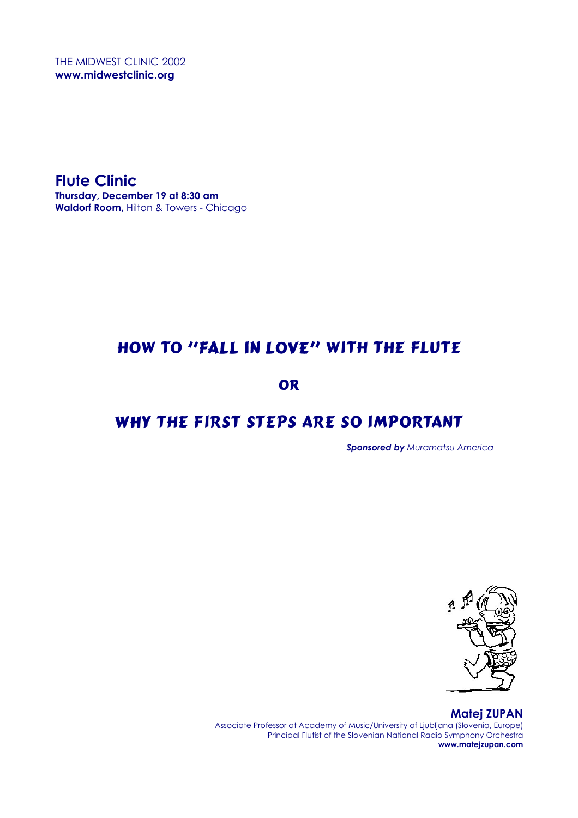THE MIDWEST CLINIC 2002 **www.midwestclinic.org** 

**Flute Clinic Thursday, December 19 at 8:30 am Waldorf Room,** Hilton & Towers - Chicago

## How to "Fall in Love" With the Flute

OR

# WHY THE FIRST STEPS ARE SO IMPORTANT

 *Sponsored by Muramatsu America* 



**Matej ZUPAN**  Associate Professor at Academy of Music/University of Ljubljana (Slovenia, Europe) Principal Flutist of the Slovenian National Radio Symphony Orchestra **www.matejzupan.com**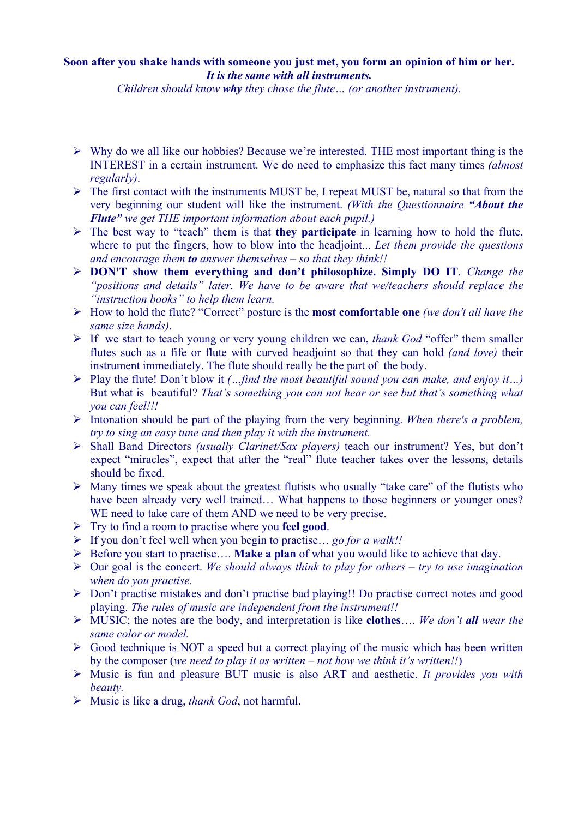### **Soon after you shake hands with someone you just met, you form an opinion of him or her.**  *It is the same with all instruments.*

*Children should know why they chose the flute… (or another instrument).*

- $\triangleright$  Why do we all like our hobbies? Because we're interested. THE most important thing is the INTEREST in a certain instrument. We do need to emphasize this fact many times *(almost regularly)*.
- $\triangleright$  The first contact with the instruments MUST be, I repeat MUST be, natural so that from the very beginning our student will like the instrument. *(With the Questionnaire "About the Flute" we get THE important information about each pupil.)*
- ¾ The best way to "teach" them is that **they participate** in learning how to hold the flute, where to put the fingers, how to blow into the headjoint... *Let them provide the questions and encourage them to answer themselves – so that they think!!*
- ¾ **DON'T show them everything and don't philosophize. Simply DO IT**. *Change the "positions and details" later. We have to be aware that we/teachers should replace the "instruction books" to help them learn.*
- ¾ How to hold the flute? "Correct" posture is the **most comfortable one** *(we don't all have the same size hands)*.
- ¾ If we start to teach young or very young children we can, *thank God* "offer" them smaller flutes such as a fife or flute with curved headjoint so that they can hold *(and love)* their instrument immediately. The flute should really be the part of the body.
- ¾ Play the flute! Don't blow it *(…find the most beautiful sound you can make, and enjoy it…)*  But what is beautiful? *That's something you can not hear or see but that's something what you can feel!!!*
- ¾ Intonation should be part of the playing from the very beginning. *When there's a problem, try to sing an easy tune and then play it with the instrument.*
- ¾ Shall Band Directors *(usually Clarinet/Sax players)* teach our instrument? Yes, but don't expect "miracles", expect that after the "real" flute teacher takes over the lessons, details should be fixed.
- $\triangleright$  Many times we speak about the greatest flutists who usually "take care" of the flutists who have been already very well trained... What happens to those beginners or younger ones? WE need to take care of them AND we need to be very precise.
- ¾ Try to find a room to practise where you **feel good**.
- ¾ If you don't feel well when you begin to practise… *go for a walk!!*
- ¾ Before you start to practise…. **Make a plan** of what you would like to achieve that day.
- ¾ Our goal is the concert. *We should always think to play for others try to use imagination when do you practise.*
- $\triangleright$  Don't practise mistakes and don't practise bad playing!! Do practise correct notes and good playing. *The rules of music are independent from the instrument!!*
- ¾ MUSIC; the notes are the body, and interpretation is like **clothes**…. *We don't all wear the same color or model.*
- $\triangleright$  Good technique is NOT a speed but a correct playing of the music which has been written by the composer (*we need to play it as written – not how we think it's written!!*)
- ¾ Music is fun and pleasure BUT music is also ART and aesthetic. *It provides you with beauty.*
- ¾ Music is like a drug, *thank God*, not harmful.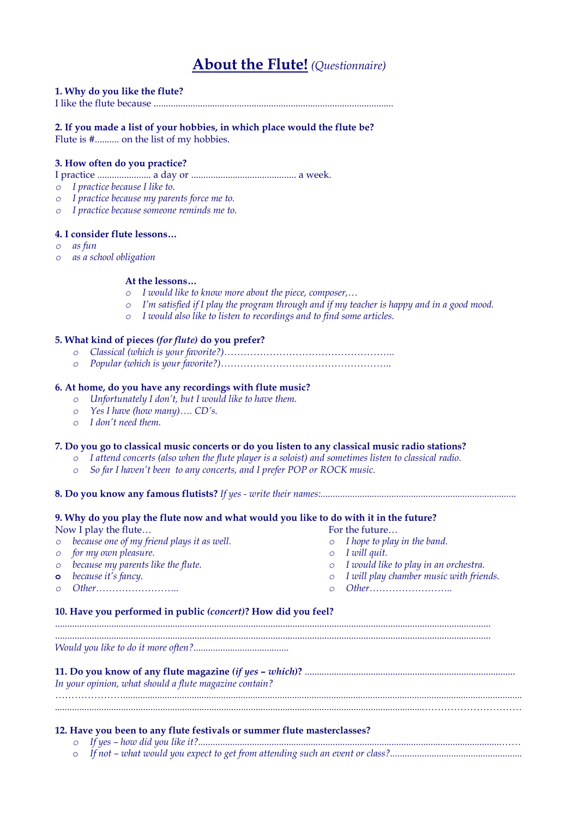## **About the Flute!** *(Questionnaire)*

#### **1. Why do you like the flute?**

I like the flute because ..................................................................................................

### **2. If you made a list of your hobbies, in which place would the flute be?**

Flute is #.......... on the list of my hobbies.

#### **3. How often do you practice?**

I practice ...................... a day or ........................................... a week.

- *o I practice because I like to.*
- *o I practice because my parents force me to.*
- *o I practice because someone reminds me to.*

#### **4. I consider flute lessons…**

- *o as fun*
- *o as a school obligation*

#### **At the lessons…**

- *o I would like to know more about the piece, composer,…*
- *o I'm satisfied if I play the program through and if my teacher is happy and in a good mood.*
- *o I would also like to listen to recordings and to find some articles.*

#### **5. What kind of pieces** *(for flute)* **do you prefer?**

- *o Classical (which is your favorite?)……………………………………………..*
- *o Popular (which is your favorite?)……………………………………………..*

#### **6. At home, do you have any recordings with flute music?**

- *o Unfortunately I don't, but I would like to have them.*
- *o Yes I have (how many)…. CD's.*
- *o I don't need them.*

#### **7. Do you go to classical music concerts or do you listen to any classical music radio stations?**

- *o I attend concerts (also when the flute player is a soloist) and sometimes listen to classical radio.*
- *o So far I haven't been to any concerts, and I prefer POP or ROCK music.*
- **8. Do you know any famous flutists?** *If yes write their names:................................................................................*

### **9. Why do you play the flute now and what would you like to do with it in the future?**  Now I play the flute… For the future… *o because one of my friend plays it as well. o I hope to play in the band. o for my own pleasure. o I will quit. o because my parents like the flute. o I would like to play in an orchestra.*  **o** *because it's fancy. o I will play chamber music with friends. o Other…………………….. o Other……………………..*  **10. Have you performed in public** *(concert)***? How did you feel?**  *Would you like to do it more often?.......................................*  **11. Do you know of any flute magazine** *(if yes – which)***?** ...................................................................................... *In your opinion, what should a flute magazine contain? …………………................................................................................................................................................................... .......................................................................................................................................................…………………………*  **12. Have you been to any flute festivals or summer flute masterclasses?**  *o If yes – how did you like it?............................................................................................................................……*

o *If not – what would you expect to get from attending such an event or class?......................................................*